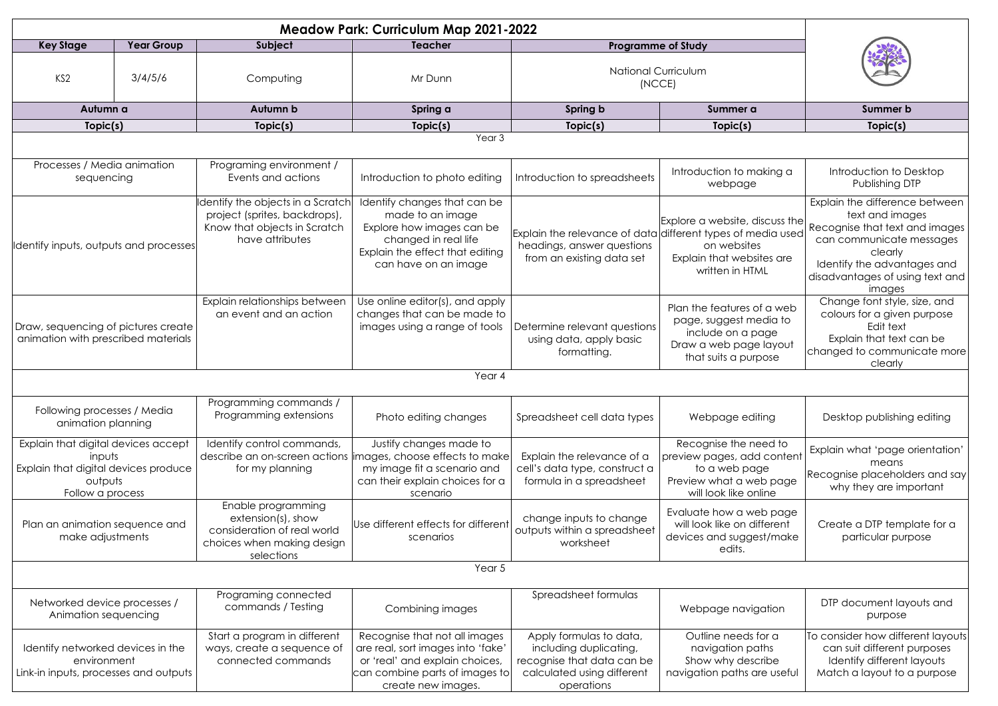| <b>Meadow Park: Curriculum Map 2021-2022</b>                                                                         |                   |                                                                                                                        |                                                                                                                                                                        |                                                                                                                             |                                                                                                                             |                                                                                                                                                                                                        |  |  |
|----------------------------------------------------------------------------------------------------------------------|-------------------|------------------------------------------------------------------------------------------------------------------------|------------------------------------------------------------------------------------------------------------------------------------------------------------------------|-----------------------------------------------------------------------------------------------------------------------------|-----------------------------------------------------------------------------------------------------------------------------|--------------------------------------------------------------------------------------------------------------------------------------------------------------------------------------------------------|--|--|
| <b>Key Stage</b>                                                                                                     | <b>Year Group</b> | Subject                                                                                                                | <b>Teacher</b>                                                                                                                                                         | <b>Programme of Study</b>                                                                                                   |                                                                                                                             |                                                                                                                                                                                                        |  |  |
| KS <sub>2</sub>                                                                                                      | 3/4/5/6           | Computing                                                                                                              | Mr Dunn                                                                                                                                                                | <b>National Curriculum</b><br>(NCCE)                                                                                        |                                                                                                                             |                                                                                                                                                                                                        |  |  |
| Autumn a                                                                                                             |                   | Autumn b                                                                                                               | Spring a                                                                                                                                                               | Spring b                                                                                                                    | Summer a                                                                                                                    | Summer b                                                                                                                                                                                               |  |  |
| Topic(s)                                                                                                             |                   | Topic(s)                                                                                                               | Topic(s)                                                                                                                                                               | Topic(s)                                                                                                                    | Topic(s)                                                                                                                    | Topic(s)                                                                                                                                                                                               |  |  |
| Year <sub>3</sub>                                                                                                    |                   |                                                                                                                        |                                                                                                                                                                        |                                                                                                                             |                                                                                                                             |                                                                                                                                                                                                        |  |  |
| Processes / Media animation<br>sequencing                                                                            |                   | Programing environment /<br>Events and actions                                                                         | Introduction to photo editing                                                                                                                                          | Introduction to spreadsheets                                                                                                | Introduction to making a<br>webpage                                                                                         | Introduction to Desktop<br>Publishing DTP                                                                                                                                                              |  |  |
| Identify inputs, outputs and processes                                                                               |                   | dentify the objects in a Scratch<br>project (sprites, backdrops),<br>Know that objects in Scratch<br>have attributes   | Identify changes that can be<br>made to an image<br>Explore how images can be<br>changed in real life<br>Explain the effect that editing<br>can have on an image       | Explain the relevance of data different types of media used<br>headings, answer questions<br>from an existing data set      | Explore a website, discuss the<br>on websites<br>Explain that websites are<br>written in HTML                               | Explain the difference between<br>text and images<br>Recognise that text and images<br>can communicate messages<br>clearly<br>Identify the advantages and<br>disadvantages of using text and<br>images |  |  |
| Draw, sequencing of pictures create<br>animation with prescribed materials                                           |                   | Explain relationships between<br>an event and an action                                                                | Use online editor(s), and apply<br>changes that can be made to<br>images using a range of tools                                                                        | Determine relevant questions<br>using data, apply basic<br>formatting.                                                      | Plan the features of a web<br>page, suggest media to<br>include on a page<br>Draw a web page layout<br>that suits a purpose | Change font style, size, and<br>colours for a given purpose<br>Edit text<br>Explain that text can be<br>changed to communicate more<br>clearly                                                         |  |  |
| Year 4                                                                                                               |                   |                                                                                                                        |                                                                                                                                                                        |                                                                                                                             |                                                                                                                             |                                                                                                                                                                                                        |  |  |
| Following processes / Media<br>animation planning                                                                    |                   | Programming commands /<br>Programming extensions                                                                       | Photo editing changes                                                                                                                                                  | Spreadsheet cell data types                                                                                                 | Webpage editing                                                                                                             | Desktop publishing editing                                                                                                                                                                             |  |  |
| Explain that digital devices accept<br>inputs<br>Explain that digital devices produce<br>outputs<br>Follow a process |                   | Identify control commands,<br>for my planning                                                                          | Justify changes made to<br>describe an on-screen actions limages, choose effects to make<br>my image fit a scenario and<br>can their explain choices for a<br>scenario | Explain the relevance of a<br>cell's data type, construct a<br>formula in a spreadsheet                                     | Recognise the need to<br>preview pages, add content<br>to a web page<br>Preview what a web page<br>will look like online    | Explain what 'page orientation'<br>means<br>Recognise placeholders and say<br>why they are important                                                                                                   |  |  |
| Plan an animation sequence and<br>make adjustments                                                                   |                   | Enable programming<br>$extension(s)$ , show<br>consideration of real world<br>choices when making design<br>selections | Use different effects for different<br>scenarios                                                                                                                       | change inputs to change<br>outputs within a spreadsheet<br>worksheet                                                        | Evaluate how a web page<br>will look like on different<br>devices and suggest/make<br>edits.                                | Create a DTP template for a<br>particular purpose                                                                                                                                                      |  |  |
| Year <sub>5</sub>                                                                                                    |                   |                                                                                                                        |                                                                                                                                                                        |                                                                                                                             |                                                                                                                             |                                                                                                                                                                                                        |  |  |
| Networked device processes /<br>Animation sequencing                                                                 |                   | Programing connected<br>commands / Testing                                                                             | Combining images                                                                                                                                                       | Spreadsheet formulas                                                                                                        | Webpage navigation                                                                                                          | DTP document layouts and<br>purpose                                                                                                                                                                    |  |  |
| Identify networked devices in the<br>environment<br>Link-in inputs, processes and outputs                            |                   | Start a program in different<br>ways, create a sequence of<br>connected commands                                       | Recognise that not all images<br>are real, sort images into 'fake'<br>or 'real' and explain choices,<br>can combine parts of images to<br>create new images.           | Apply formulas to data,<br>including duplicating,<br>recognise that data can be<br>calculated using different<br>operations | Outline needs for a<br>navigation paths<br>Show why describe<br>navigation paths are useful                                 | To consider how different layouts<br>can suit different purposes<br>Identify different layouts<br>Match a layout to a purpose                                                                          |  |  |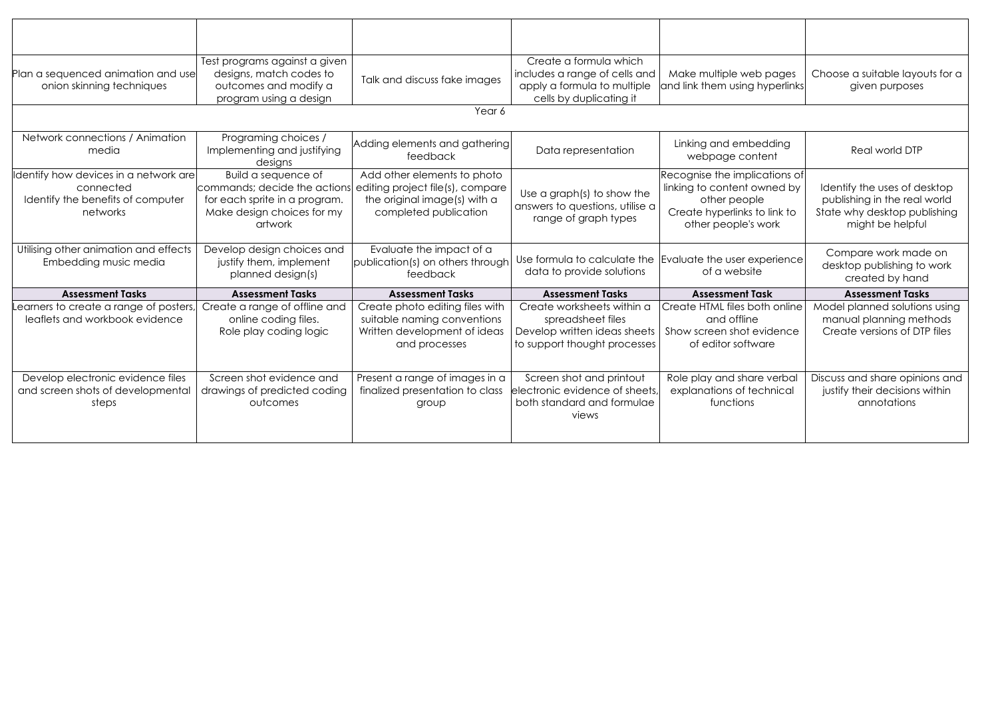| Plan a sequenced animation and use<br>onion skinning techniques                                      | Test programs against a given<br>designs, match codes to<br>outcomes and modify a<br>program using a design                   | Talk and discuss fake images                                                                                             | Create a formula which<br>includes a range of cells and<br>apply a formula to multiple<br>cells by duplicating it | Make multiple web pages<br>and link them using hyperlinks                                                                           | Choose a suitable layouts for a<br>given purposes                                                                |
|------------------------------------------------------------------------------------------------------|-------------------------------------------------------------------------------------------------------------------------------|--------------------------------------------------------------------------------------------------------------------------|-------------------------------------------------------------------------------------------------------------------|-------------------------------------------------------------------------------------------------------------------------------------|------------------------------------------------------------------------------------------------------------------|
|                                                                                                      |                                                                                                                               | Year 6                                                                                                                   |                                                                                                                   |                                                                                                                                     |                                                                                                                  |
| Network connections / Animation<br>media                                                             | Programing choices /<br>Implementing and justifying<br>designs                                                                | Adding elements and gathering<br>feedback                                                                                | Data representation                                                                                               | Linking and embedding<br>webpage content                                                                                            | Real world DTP                                                                                                   |
| Identify how devices in a network are <br>connected<br>Identify the benefits of computer<br>networks | Build a sequence of<br>commands; decide the actions<br>for each sprite in a program.<br>Make design choices for my<br>artwork | Add other elements to photo<br>editing project file(s), compare<br>the original image(s) with a<br>completed publication | Use a graph(s) to show the<br>answers to questions, utilise a<br>range of graph types                             | Recognise the implications of<br>linking to content owned by<br>other people<br>Create hyperlinks to link to<br>other people's work | Identify the uses of desktop<br>publishing in the real world<br>State why desktop publishing<br>might be helpful |
| Utilising other animation and effects<br>Embedding music media                                       | Develop design choices and<br>justify them, implement<br>planned design(s)                                                    | Evaluate the impact of a<br>publication(s) on others through<br>feedback                                                 | Use formula to calculate the<br>data to provide solutions                                                         | Evaluate the user experience<br>of a website                                                                                        | Compare work made on<br>desktop publishing to work<br>created by hand                                            |
| <b>Assessment Tasks</b>                                                                              | <b>Assessment Tasks</b>                                                                                                       | <b>Assessment Tasks</b>                                                                                                  | <b>Assessment Tasks</b>                                                                                           | <b>Assessment Task</b>                                                                                                              | <b>Assessment Tasks</b>                                                                                          |
| earners to create a range of posters,<br>leaflets and workbook evidence                              | Create a range of offline and<br>online coding files.<br>Role play coding logic                                               | Create photo editing files with<br>suitable naming conventions<br>Written development of ideas<br>and processes          | Create worksheets within a<br>spreadsheet files<br>Develop written ideas sheets<br>to support thought processes   | Create HTML files both online<br>and offline<br>Show screen shot evidence<br>of editor software                                     | Model planned solutions using<br>manual planning methods<br>Create versions of DTP files                         |
| Develop electronic evidence files<br>and screen shots of developmental<br>steps                      | Screen shot evidence and<br>drawings of predicted coding<br>outcomes                                                          | Present a range of images in a<br>finalized presentation to class<br>group                                               | Screen shot and printout<br>electronic evidence of sheets,<br>both standard and formulae<br>views                 | Role play and share verbal<br>explanations of technical<br>functions                                                                | Discuss and share opinions and<br>justify their decisions within<br>annotations                                  |